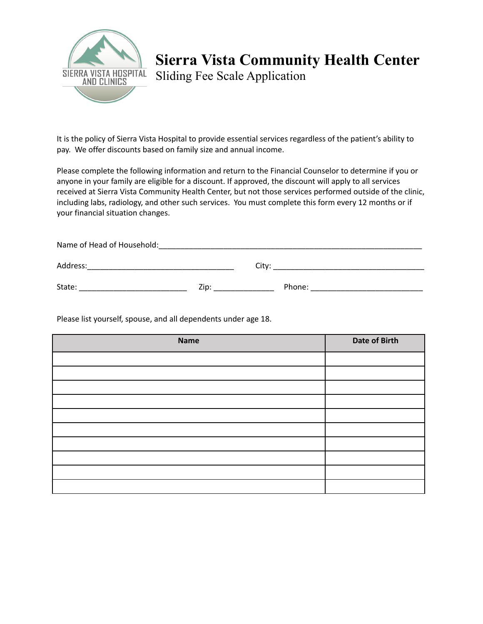

## **Sierra Vista Community Health Center**

Sliding Fee Scale Application

It is the policy of Sierra Vista Hospital to provide essential services regardless of the patient's ability to pay. We offer discounts based on family size and annual income.

Please complete the following information and return to the Financial Counselor to determine if you or anyone in your family are eligible for a discount. If approved, the discount will apply to all services received at Sierra Vista Community Health Center, but not those services performed outside of the clinic, including labs, radiology, and other such services. You must complete this form every 12 months or if your financial situation changes.

| Name of Head of Household: |      |        |  |
|----------------------------|------|--------|--|
| Address:                   |      | City:  |  |
| State:                     | Zip: | Phone: |  |

Please list yourself, spouse, and all dependents under age 18.

| <b>Name</b> | Date of Birth |
|-------------|---------------|
|             |               |
|             |               |
|             |               |
|             |               |
|             |               |
|             |               |
|             |               |
|             |               |
|             |               |
|             |               |